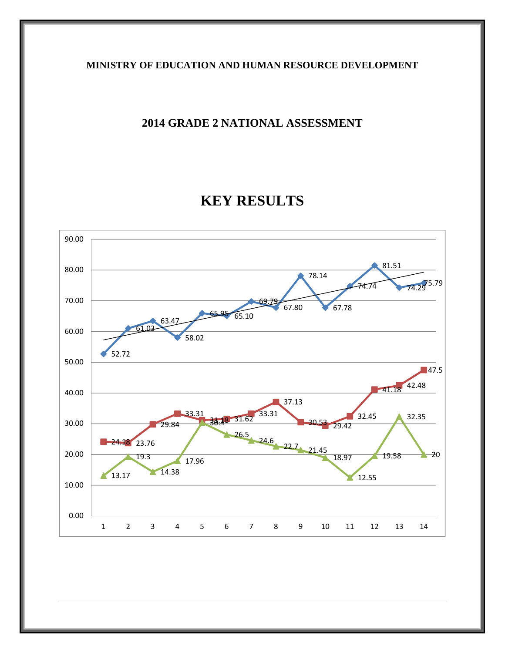## **MINISTRY OF EDUCATION AND HUMAN RESOURCE DEVELOPMENT**

# **2014 GRADE 2 NATIONAL ASSESSMENT**

# **KEY RESULTS**

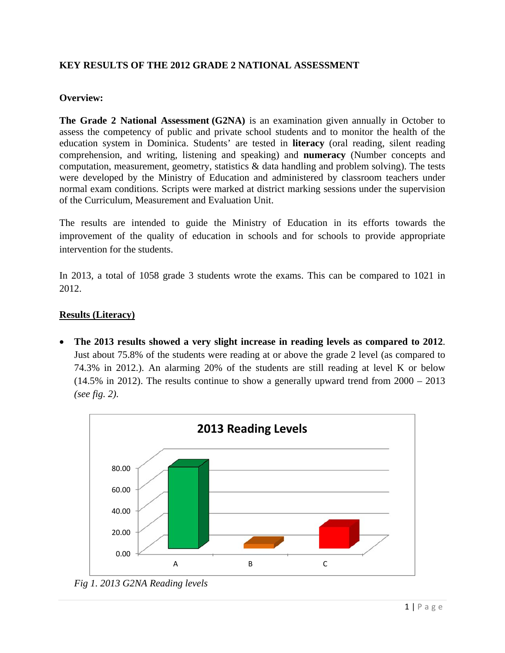## **KEY RESULTS OF THE 2012 GRADE 2 NATIONAL ASSESSMENT**

#### **Overview:**

**The Grade 2 National Assessment (G2NA)** is an examination given annually in October to assess the competency of public and private school students and to monitor the health of the education system in Dominica. Students' are tested in **literacy** (oral reading, silent reading comprehension, and writing, listening and speaking) and **numeracy** (Number concepts and computation, measurement, geometry, statistics  $\&$  data handling and problem solving). The tests were developed by the Ministry of Education and administered by classroom teachers under normal exam conditions. Scripts were marked at district marking sessions under the supervision of the Curriculum, Measurement and Evaluation Unit.

The results are intended to guide the Ministry of Education in its efforts towards the improvement of the quality of education in schools and for schools to provide appropriate intervention for the students.

In 2013, a total of 1058 grade 3 students wrote the exams. This can be compared to 1021 in 2012.

#### **Results (Literacy)**

 **The 2013 results showed a very slight increase in reading levels as compared to 2012**. Just about 75.8% of the students were reading at or above the grade 2 level (as compared to 74.3% in 2012.). An alarming 20% of the students are still reading at level K or below (14.5% in 2012). The results continue to show a generally upward trend from 2000 – 2013 *(see fig. 2)*.



*Fig 1. 2013 G2NA Reading levels*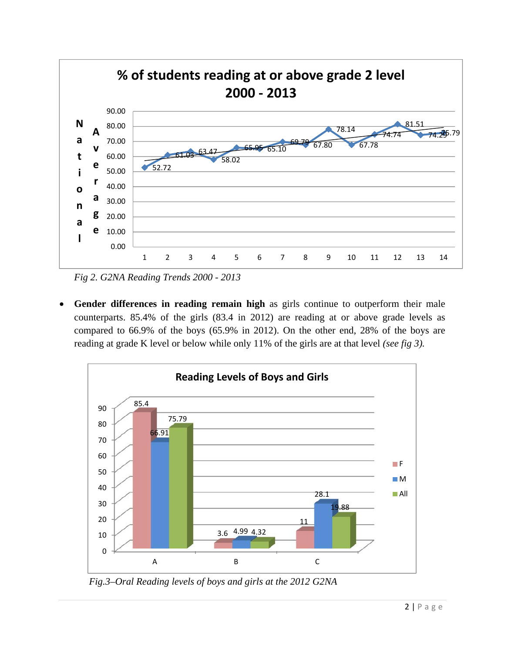

*Fig 2. G2NA Reading Trends 2000 - 2013* 

 **Gender differences in reading remain high** as girls continue to outperform their male counterparts. 85.4% of the girls (83.4 in 2012) are reading at or above grade levels as compared to 66.9% of the boys (65.9% in 2012). On the other end, 28% of the boys are reading at grade K level or below while only 11% of the girls are at that level *(see fig 3).* 



 *Fig.3–Oral Reading levels of boys and girls at the 2012 G2NA*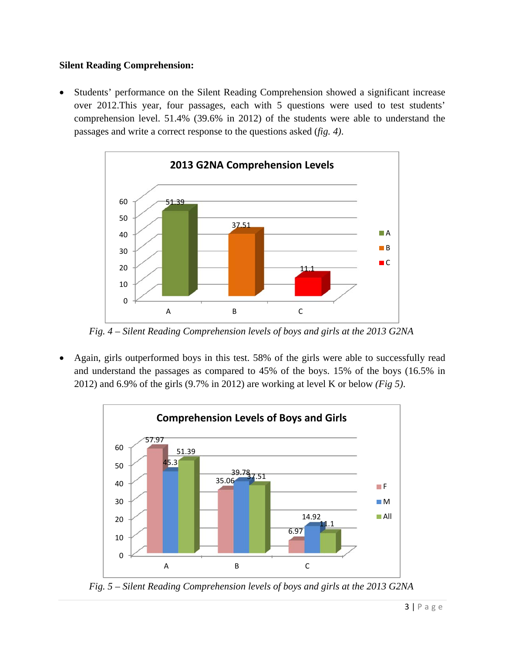## **Silent Reading Comprehension:**

 Students' performance on the Silent Reading Comprehension showed a significant increase over 2012.This year, four passages, each with 5 questions were used to test students' comprehension level. 51.4% (39.6% in 2012) of the students were able to understand the passages and write a correct response to the questions asked (*fig. 4)*.



 *Fig. 4 – Silent Reading Comprehension levels of boys and girls at the 2013 G2NA*

 Again, girls outperformed boys in this test. 58% of the girls were able to successfully read and understand the passages as compared to 45% of the boys. 15% of the boys (16.5% in 2012) and 6.9% of the girls (9.7% in 2012) are working at level K or below *(Fig 5)*.



 *Fig. 5 – Silent Reading Comprehension levels of boys and girls at the 2013 G2NA*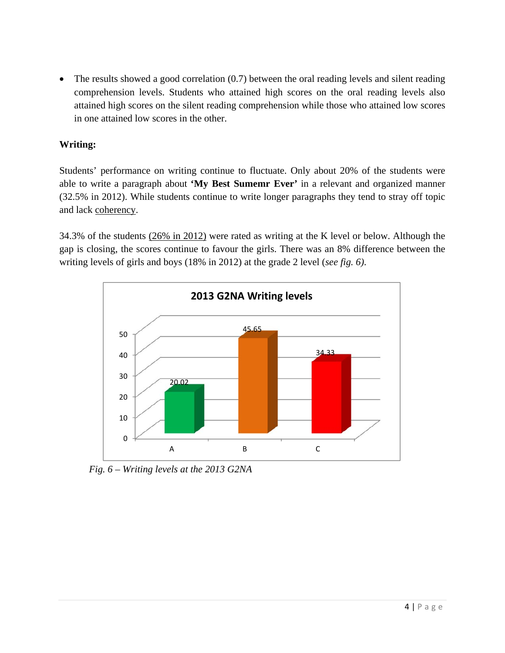• The results showed a good correlation (0.7) between the oral reading levels and silent reading comprehension levels. Students who attained high scores on the oral reading levels also attained high scores on the silent reading comprehension while those who attained low scores in one attained low scores in the other.

# **Writing:**

Students' performance on writing continue to fluctuate. Only about 20% of the students were able to write a paragraph about **'My Best Sumemr Ever'** in a relevant and organized manner (32.5% in 2012). While students continue to write longer paragraphs they tend to stray off topic and lack coherency.

34.3% of the students (26% in 2012) were rated as writing at the K level or below. Although the gap is closing, the scores continue to favour the girls. There was an 8% difference between the writing levels of girls and boys (18% in 2012) at the grade 2 level (*see fig. 6)*.



 *Fig. 6 – Writing levels at the 2013 G2NA*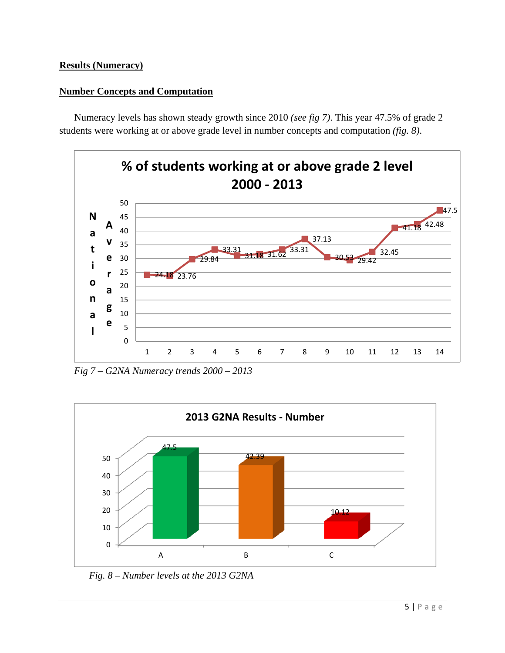## **Results (Numeracy)**

## **Number Concepts and Computation**

Numeracy levels has shown steady growth since 2010 *(see fig 7)*. This year 47.5% of grade 2 students were working at or above grade level in number concepts and computation *(fig. 8)*.



*Fig 7 – G2NA Numeracy trends 2000 – 2013* 



 *Fig. 8 – Number levels at the 2013 G2NA*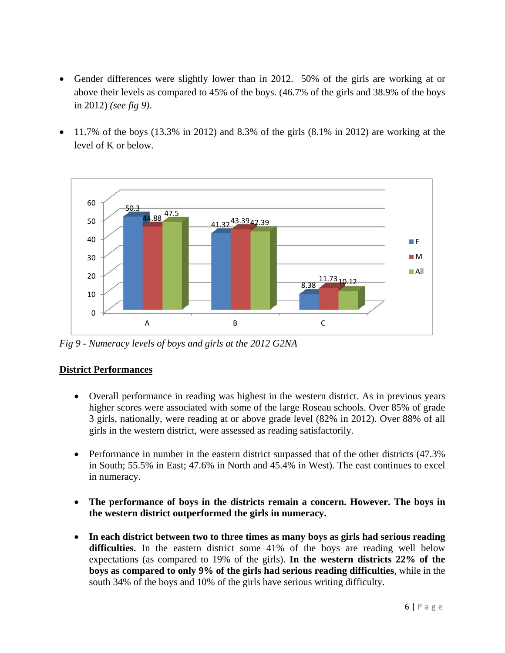- Gender differences were slightly lower than in 2012. 50% of the girls are working at or above their levels as compared to 45% of the boys. (46.7% of the girls and 38.9% of the boys in 2012) *(see fig 9)*.
- 11.7% of the boys (13.3% in 2012) and 8.3% of the girls (8.1% in 2012) are working at the level of K or below.



*Fig 9 - Numeracy levels of boys and girls at the 2012 G2NA* 

## **District Performances**

- Overall performance in reading was highest in the western district. As in previous years higher scores were associated with some of the large Roseau schools. Over 85% of grade 3 girls, nationally, were reading at or above grade level (82% in 2012). Over 88% of all girls in the western district, were assessed as reading satisfactorily.
- Performance in number in the eastern district surpassed that of the other districts (47.3%) in South; 55.5% in East; 47.6% in North and 45.4% in West). The east continues to excel in numeracy.
- **The performance of boys in the districts remain a concern. However. The boys in the western district outperformed the girls in numeracy.**
- **In each district between two to three times as many boys as girls had serious reading difficulties.** In the eastern district some 41% of the boys are reading well below expectations (as compared to 19% of the girls). **In the western districts 22% of the boys as compared to only 9% of the girls had serious reading difficulties**, while in the south 34% of the boys and 10% of the girls have serious writing difficulty.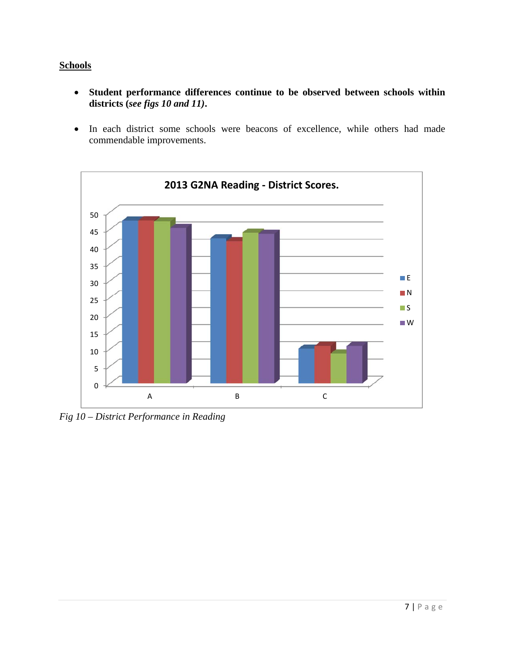## **Schools**

- **Student performance differences continue to be observed between schools within districts (***see figs 10 and 11)***.**
- In each district some schools were beacons of excellence, while others had made commendable improvements.



*Fig 10 – District Performance in Reading*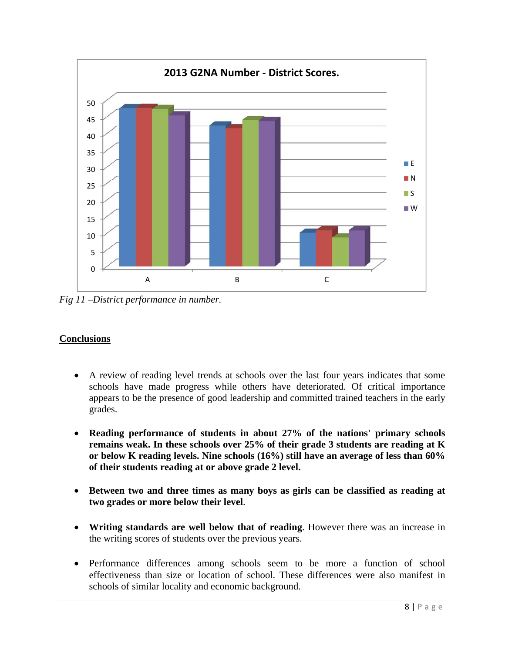

*Fig 11 –District performance in number.* 

# **Conclusions**

- A review of reading level trends at schools over the last four years indicates that some schools have made progress while others have deteriorated. Of critical importance appears to be the presence of good leadership and committed trained teachers in the early grades.
- **Reading performance of students in about 27% of the nations' primary schools remains weak. In these schools over 25% of their grade 3 students are reading at K or below K reading levels. Nine schools (16%) still have an average of less than 60% of their students reading at or above grade 2 level.**
- **Between two and three times as many boys as girls can be classified as reading at two grades or more below their level**.
- **Writing standards are well below that of reading**. However there was an increase in the writing scores of students over the previous years.
- Performance differences among schools seem to be more a function of school effectiveness than size or location of school. These differences were also manifest in schools of similar locality and economic background.